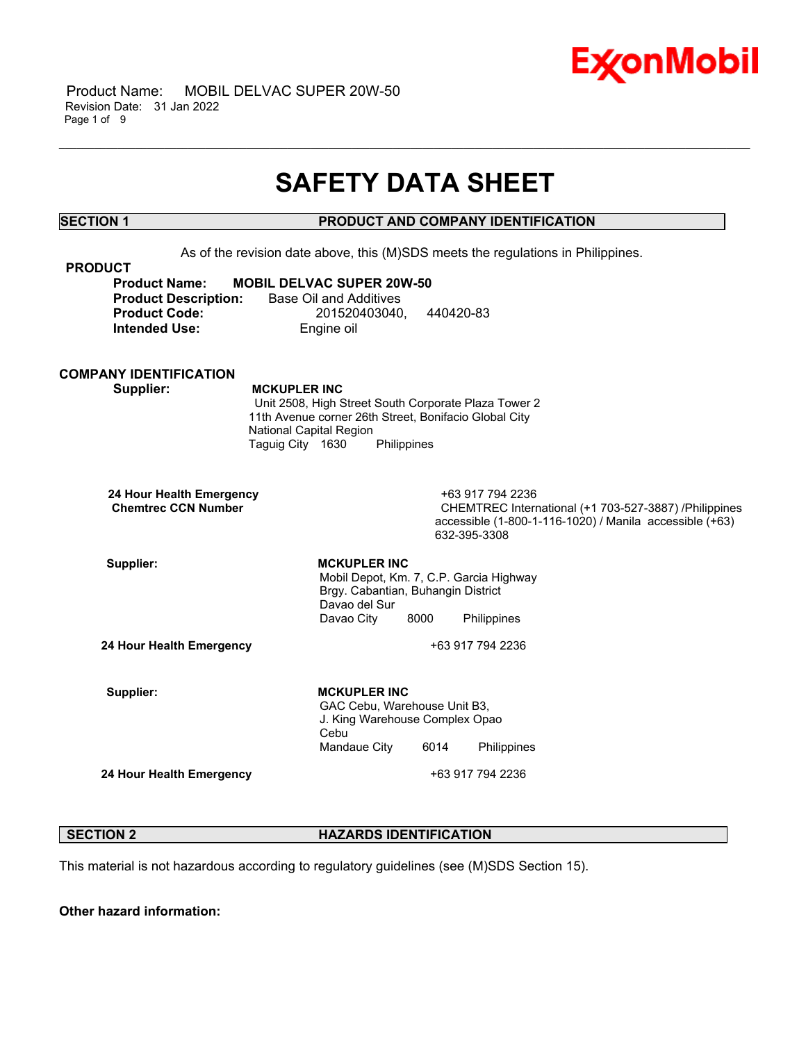

# **SAFETY DATA SHEET**

\_\_\_\_\_\_\_\_\_\_\_\_\_\_\_\_\_\_\_\_\_\_\_\_\_\_\_\_\_\_\_\_\_\_\_\_\_\_\_\_\_\_\_\_\_\_\_\_\_\_\_\_\_\_\_\_\_\_\_\_\_\_\_\_\_\_\_\_\_\_\_\_\_\_\_\_\_\_\_\_\_\_\_\_\_\_\_\_\_\_\_\_\_\_\_\_\_\_\_\_\_\_\_\_\_\_\_\_\_\_\_\_\_\_\_\_\_\_

# **SECTION 1 PRODUCT AND COMPANY IDENTIFICATION**

As of the revision date above, this (M)SDS meets the regulations in Philippines. **PRODUCT Product Name: MOBIL DELVAC SUPER 20W-50 Product Description:** Base Oil and Additives **Product Code:** 201520403040, 440420-83 **Intended Use:** Engine oil **COMPANY IDENTIFICATION Supplier: MCKUPLER INC** Unit 2508, High Street South Corporate Plaza Tower 2 11th Avenue corner 26th Street, Bonifacio Global City National Capital Region Taguig City 1630 Philippines **24 Hour Health Emergency** +63 917 794 2236 **CHEMTREC International (+1 703-527-3887) /Philippines** accessible (1-800-1-116-1020) / Manila accessible (+63) 632-395-3308 Supplier: **MCKUPLER** INC Mobil Depot, Km. 7, C.P. Garcia Highway Brgy. Cabantian, Buhangin District Davao del Sur Davao City 8000 Philippines **24 Hour Health Emergency** +63 917 794 2236 Supplier: **MCKUPLER** INC GAC Cebu, Warehouse Unit B3, J. King Warehouse Complex Opao Cebu Mandaue City 6014 Philippines **24 Hour Health Emergency** +63 917 794 2236

### **SECTION 2 HAZARDS IDENTIFICATION**

This material is not hazardous according to regulatory guidelines (see (M)SDS Section 15).

**Other hazard information:**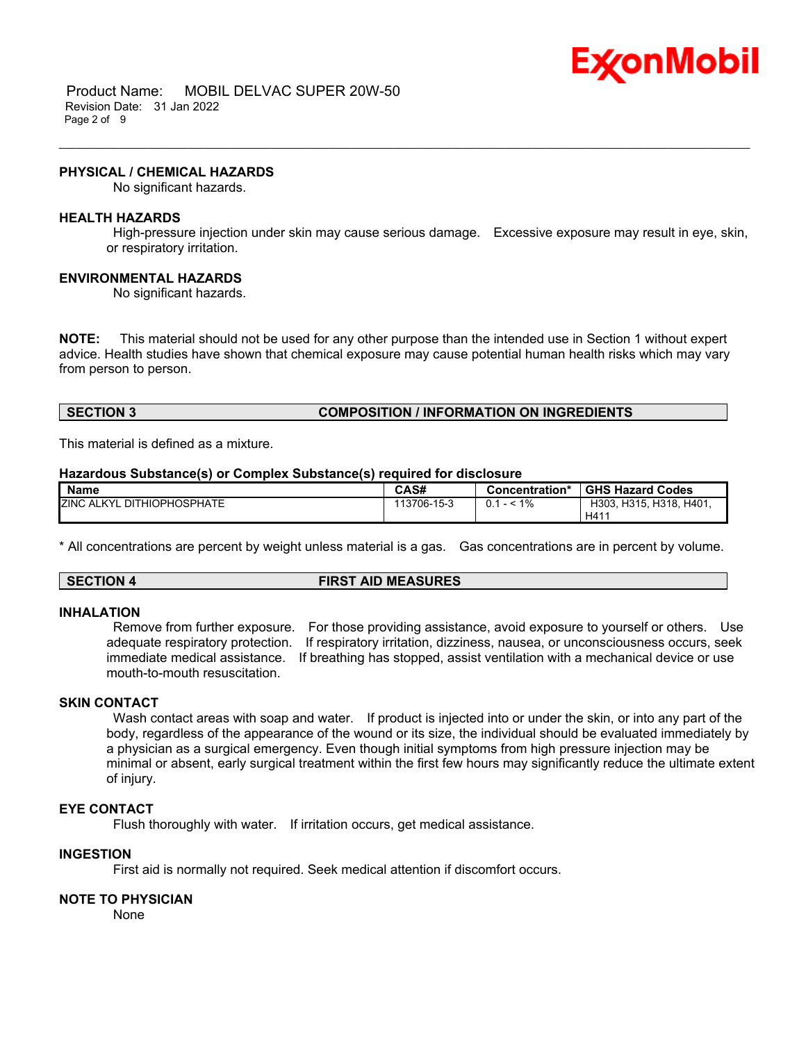

 Product Name: MOBIL DELVAC SUPER 20W-50 Revision Date: 31 Jan 2022 Page 2 of 9

#### **PHYSICAL / CHEMICAL HAZARDS**

No significant hazards.

#### **HEALTH HAZARDS**

High-pressure injection under skin may cause serious damage. Excessive exposure may result in eye, skin, or respiratory irritation.

\_\_\_\_\_\_\_\_\_\_\_\_\_\_\_\_\_\_\_\_\_\_\_\_\_\_\_\_\_\_\_\_\_\_\_\_\_\_\_\_\_\_\_\_\_\_\_\_\_\_\_\_\_\_\_\_\_\_\_\_\_\_\_\_\_\_\_\_\_\_\_\_\_\_\_\_\_\_\_\_\_\_\_\_\_\_\_\_\_\_\_\_\_\_\_\_\_\_\_\_\_\_\_\_\_\_\_\_\_\_\_\_\_\_\_\_\_\_

#### **ENVIRONMENTAL HAZARDS**

No significant hazards.

**NOTE:** This material should not be used for any other purpose than the intended use in Section 1 without expert advice. Health studies have shown that chemical exposure may cause potential human health risks which may vary from person to person.

# **SECTION 3 COMPOSITION / INFORMATION ON INGREDIENTS**

This material is defined as a mixture.

#### **Hazardous Substance(s) or Complex Substance(s) required for disclosure**

| <b>Name</b>                            | CAS#        | Concentration* | <b>GHS Hazard Codes</b> |
|----------------------------------------|-------------|----------------|-------------------------|
| <b>ZINC ALKYL</b><br>_ DITHIOPHOSPHATE | 113706-15-3 | $- < 1\%$      | H303, H315, H318, H401, |
|                                        |             |                | H411                    |

\* All concentrations are percent by weight unless material is a gas. Gas concentrations are in percent by volume.

# **SECTION 4 FIRST AID MEASURES**

#### **INHALATION**

Remove from further exposure. For those providing assistance, avoid exposure to yourself or others. Use adequate respiratory protection. If respiratory irritation, dizziness, nausea, or unconsciousness occurs, seek immediate medical assistance. If breathing has stopped, assist ventilation with a mechanical device or use mouth-to-mouth resuscitation.

# **SKIN CONTACT**

Wash contact areas with soap and water. If product is injected into or under the skin, or into any part of the body, regardless of the appearance of the wound or its size, the individual should be evaluated immediately by a physician as a surgical emergency. Even though initial symptoms from high pressure injection may be minimal or absent, early surgical treatment within the first few hours may significantly reduce the ultimate extent of injury.

# **EYE CONTACT**

Flush thoroughly with water. If irritation occurs, get medical assistance.

### **INGESTION**

First aid is normally not required. Seek medical attention if discomfort occurs.

### **NOTE TO PHYSICIAN**

None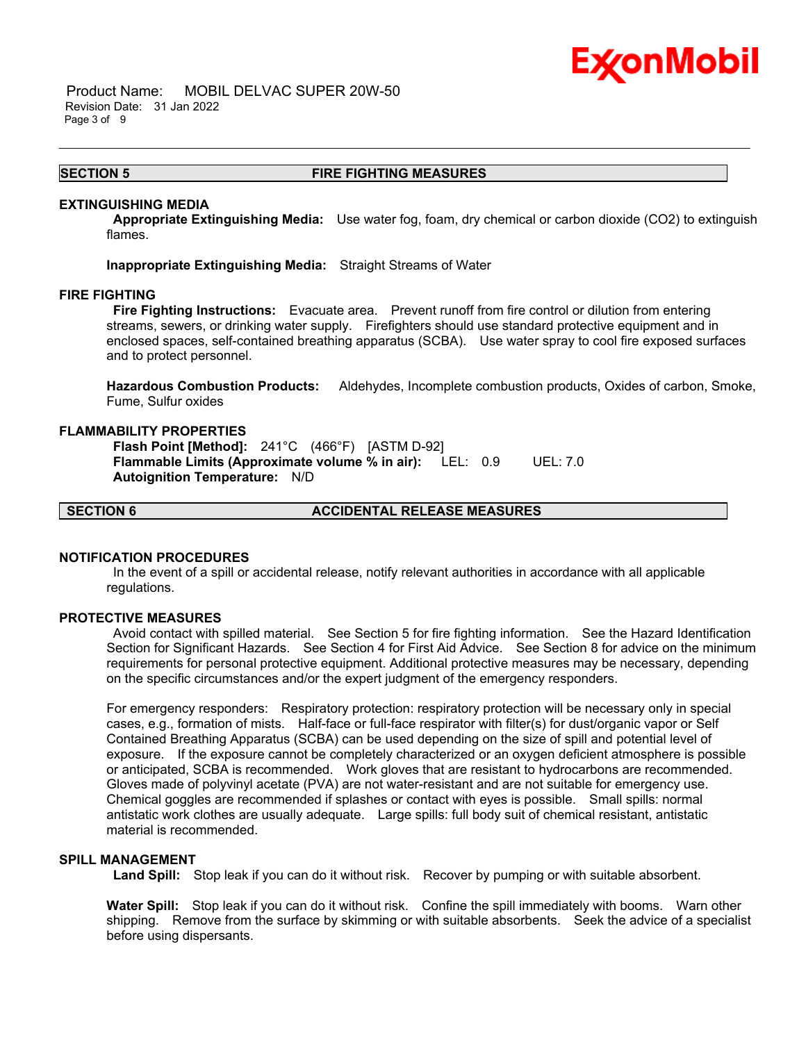

 Product Name: MOBIL DELVAC SUPER 20W-50 Revision Date: 31 Jan 2022 Page 3 of 9

### **SECTION 5 FIRE FIGHTING MEASURES**

\_\_\_\_\_\_\_\_\_\_\_\_\_\_\_\_\_\_\_\_\_\_\_\_\_\_\_\_\_\_\_\_\_\_\_\_\_\_\_\_\_\_\_\_\_\_\_\_\_\_\_\_\_\_\_\_\_\_\_\_\_\_\_\_\_\_\_\_\_\_\_\_\_\_\_\_\_\_\_\_\_\_\_\_\_\_\_\_\_\_\_\_\_\_\_\_\_\_\_\_\_\_\_\_\_\_\_\_\_\_\_\_\_\_\_\_\_\_

#### **EXTINGUISHING MEDIA**

**Appropriate Extinguishing Media:** Use water fog, foam, dry chemical or carbon dioxide (CO2) to extinguish flames.

**Inappropriate Extinguishing Media:** Straight Streams of Water

#### **FIRE FIGHTING**

**Fire Fighting Instructions:** Evacuate area. Prevent runoff from fire control or dilution from entering streams, sewers, or drinking water supply. Firefighters should use standard protective equipment and in enclosed spaces, self-contained breathing apparatus (SCBA). Use water spray to cool fire exposed surfaces and to protect personnel.

**Hazardous Combustion Products:** Aldehydes, Incomplete combustion products, Oxides of carbon, Smoke, Fume, Sulfur oxides

#### **FLAMMABILITY PROPERTIES**

**Flash Point [Method]:** 241°C (466°F) [ASTM D-92] **Flammable Limits (Approximate volume % in air):** LEL: 0.9 UEL: 7.0 **Autoignition Temperature:** N/D

**SECTION 6 ACCIDENTAL RELEASE MEASURES**

# **NOTIFICATION PROCEDURES**

In the event of a spill or accidental release, notify relevant authorities in accordance with all applicable regulations.

#### **PROTECTIVE MEASURES**

Avoid contact with spilled material. See Section 5 for fire fighting information. See the Hazard Identification Section for Significant Hazards. See Section 4 for First Aid Advice. See Section 8 for advice on the minimum requirements for personal protective equipment. Additional protective measures may be necessary, depending on the specific circumstances and/or the expert judgment of the emergency responders.

For emergency responders: Respiratory protection: respiratory protection will be necessary only in special cases, e.g., formation of mists. Half-face or full-face respirator with filter(s) for dust/organic vapor or Self Contained Breathing Apparatus (SCBA) can be used depending on the size of spill and potential level of exposure. If the exposure cannot be completely characterized or an oxygen deficient atmosphere is possible or anticipated, SCBA is recommended. Work gloves that are resistant to hydrocarbons are recommended. Gloves made of polyvinyl acetate (PVA) are not water-resistant and are not suitable for emergency use. Chemical goggles are recommended if splashes or contact with eyes is possible. Small spills: normal antistatic work clothes are usually adequate. Large spills: full body suit of chemical resistant, antistatic material is recommended.

# **SPILL MANAGEMENT**

**Land Spill:** Stop leak if you can do it without risk. Recover by pumping or with suitable absorbent.

**Water Spill:** Stop leak if you can do it without risk. Confine the spill immediately with booms. Warn other shipping. Remove from the surface by skimming or with suitable absorbents. Seek the advice of a specialist before using dispersants.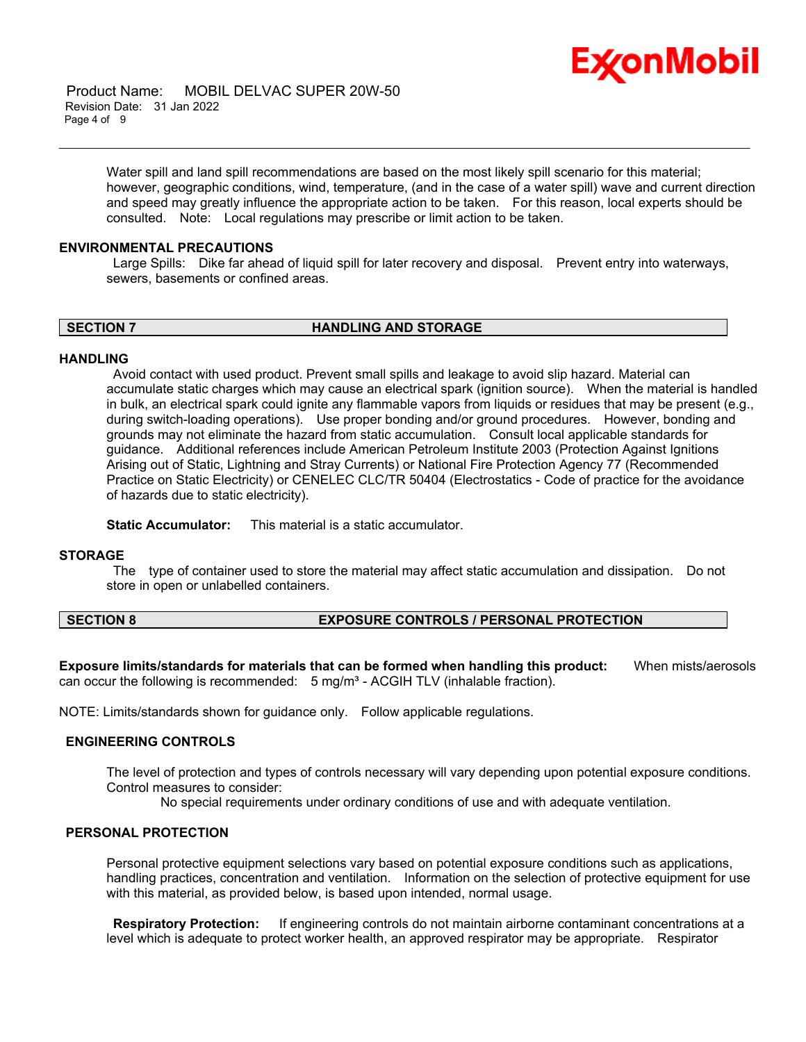

 Product Name: MOBIL DELVAC SUPER 20W-50 Revision Date: 31 Jan 2022 Page 4 of 9

> Water spill and land spill recommendations are based on the most likely spill scenario for this material; however, geographic conditions, wind, temperature, (and in the case of a water spill) wave and current direction and speed may greatly influence the appropriate action to be taken. For this reason, local experts should be consulted. Note: Local regulations may prescribe or limit action to be taken.

\_\_\_\_\_\_\_\_\_\_\_\_\_\_\_\_\_\_\_\_\_\_\_\_\_\_\_\_\_\_\_\_\_\_\_\_\_\_\_\_\_\_\_\_\_\_\_\_\_\_\_\_\_\_\_\_\_\_\_\_\_\_\_\_\_\_\_\_\_\_\_\_\_\_\_\_\_\_\_\_\_\_\_\_\_\_\_\_\_\_\_\_\_\_\_\_\_\_\_\_\_\_\_\_\_\_\_\_\_\_\_\_\_\_\_\_\_\_

#### **ENVIRONMENTAL PRECAUTIONS**

Large Spills: Dike far ahead of liquid spill for later recovery and disposal. Prevent entry into waterways, sewers, basements or confined areas.

**SECTION 7 HANDLING AND STORAGE**

#### **HANDLING**

Avoid contact with used product. Prevent small spills and leakage to avoid slip hazard. Material can accumulate static charges which may cause an electrical spark (ignition source). When the material is handled in bulk, an electrical spark could ignite any flammable vapors from liquids or residues that may be present (e.g., during switch-loading operations). Use proper bonding and/or ground procedures. However, bonding and grounds may not eliminate the hazard from static accumulation. Consult local applicable standards for guidance. Additional references include American Petroleum Institute 2003 (Protection Against Ignitions Arising out of Static, Lightning and Stray Currents) or National Fire Protection Agency 77 (Recommended Practice on Static Electricity) or CENELEC CLC/TR 50404 (Electrostatics - Code of practice for the avoidance of hazards due to static electricity).

**Static Accumulator:** This material is a static accumulator.

#### **STORAGE**

The type of container used to store the material may affect static accumulation and dissipation. Do not store in open or unlabelled containers.

# **SECTION 8 EXPOSURE CONTROLS / PERSONAL PROTECTION**

**Exposure limits/standards for materials that can be formed when handling this product:** When mists/aerosols can occur the following is recommended:  $5 \text{ mg/m}^3$  - ACGIH TLV (inhalable fraction).

NOTE: Limits/standards shown for guidance only. Follow applicable regulations.

# **ENGINEERING CONTROLS**

The level of protection and types of controls necessary will vary depending upon potential exposure conditions. Control measures to consider:

No special requirements under ordinary conditions of use and with adequate ventilation.

# **PERSONAL PROTECTION**

Personal protective equipment selections vary based on potential exposure conditions such as applications, handling practices, concentration and ventilation. Information on the selection of protective equipment for use with this material, as provided below, is based upon intended, normal usage.

**Respiratory Protection:** If engineering controls do not maintain airborne contaminant concentrations at a level which is adequate to protect worker health, an approved respirator may be appropriate. Respirator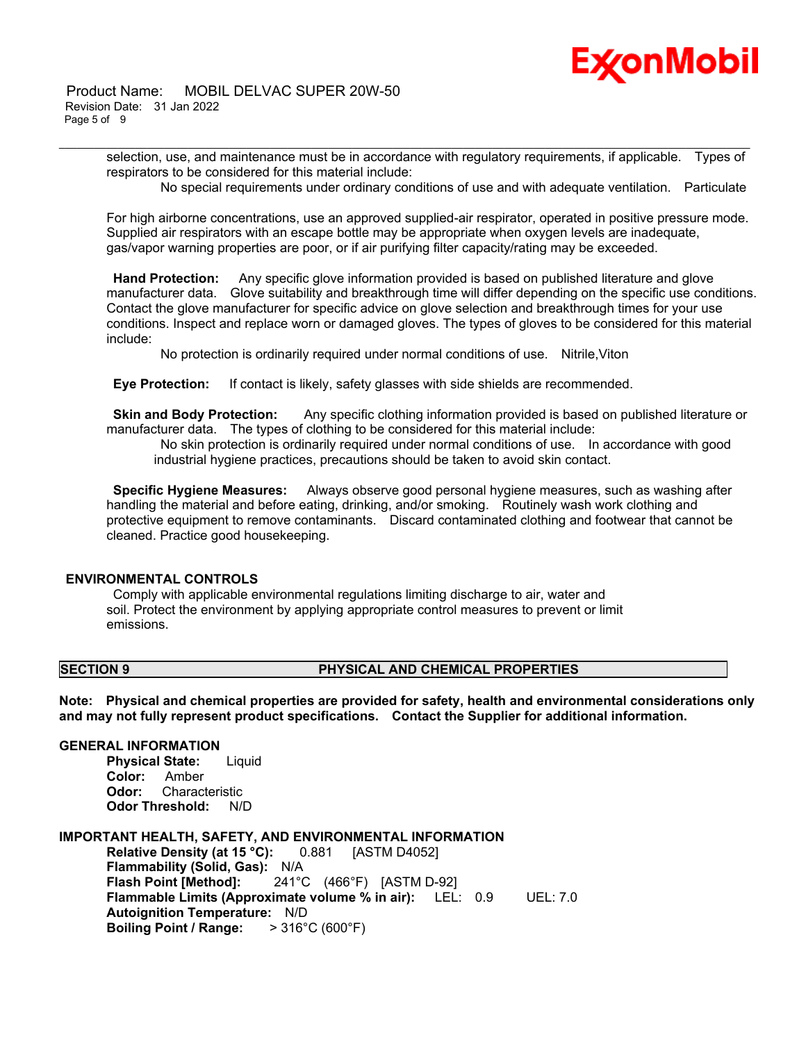

selection, use, and maintenance must be in accordance with regulatory requirements, if applicable. Types of respirators to be considered for this material include:

\_\_\_\_\_\_\_\_\_\_\_\_\_\_\_\_\_\_\_\_\_\_\_\_\_\_\_\_\_\_\_\_\_\_\_\_\_\_\_\_\_\_\_\_\_\_\_\_\_\_\_\_\_\_\_\_\_\_\_\_\_\_\_\_\_\_\_\_\_\_\_\_\_\_\_\_\_\_\_\_\_\_\_\_\_\_\_\_\_\_\_\_\_\_\_\_\_\_\_\_\_\_\_\_\_\_\_\_\_\_\_\_\_\_\_\_\_\_

No special requirements under ordinary conditions of use and with adequate ventilation. Particulate

For high airborne concentrations, use an approved supplied-air respirator, operated in positive pressure mode. Supplied air respirators with an escape bottle may be appropriate when oxygen levels are inadequate, gas/vapor warning properties are poor, or if air purifying filter capacity/rating may be exceeded.

**Hand Protection:** Any specific glove information provided is based on published literature and glove manufacturer data. Glove suitability and breakthrough time will differ depending on the specific use conditions. Contact the glove manufacturer for specific advice on glove selection and breakthrough times for your use conditions. Inspect and replace worn or damaged gloves. The types of gloves to be considered for this material include:

No protection is ordinarily required under normal conditions of use. Nitrile,Viton

**Eye Protection:** If contact is likely, safety glasses with side shields are recommended.

**Skin and Body Protection:** Any specific clothing information provided is based on published literature or manufacturer data. The types of clothing to be considered for this material include:

No skin protection is ordinarily required under normal conditions of use. In accordance with good industrial hygiene practices, precautions should be taken to avoid skin contact.

**Specific Hygiene Measures:** Always observe good personal hygiene measures, such as washing after handling the material and before eating, drinking, and/or smoking. Routinely wash work clothing and protective equipment to remove contaminants. Discard contaminated clothing and footwear that cannot be cleaned. Practice good housekeeping.

# **ENVIRONMENTAL CONTROLS**

Comply with applicable environmental regulations limiting discharge to air, water and soil. Protect the environment by applying appropriate control measures to prevent or limit emissions.

# **SECTION 9 PHYSICAL AND CHEMICAL PROPERTIES**

**Note: Physical and chemical properties are provided for safety, health and environmental considerations only and may not fully represent product specifications. Contact the Supplier for additional information.**

### **GENERAL INFORMATION**

**Physical State:** Liquid **Color:** Amber **Odor:** Characteristic **Odor Threshold:** N/D

#### **IMPORTANT HEALTH, SAFETY, AND ENVIRONMENTAL INFORMATION**

**Relative Density (at 15 °C):** 0.881 [ASTM D4052] **Flammability (Solid, Gas):** N/A **Flash Point [Method]:** 241°C (466°F) [ASTM D-92] **Flammable Limits (Approximate volume % in air):** LEL: 0.9 UEL: 7.0 **Autoignition Temperature:** N/D **Boiling Point / Range:** > 316°C (600°F)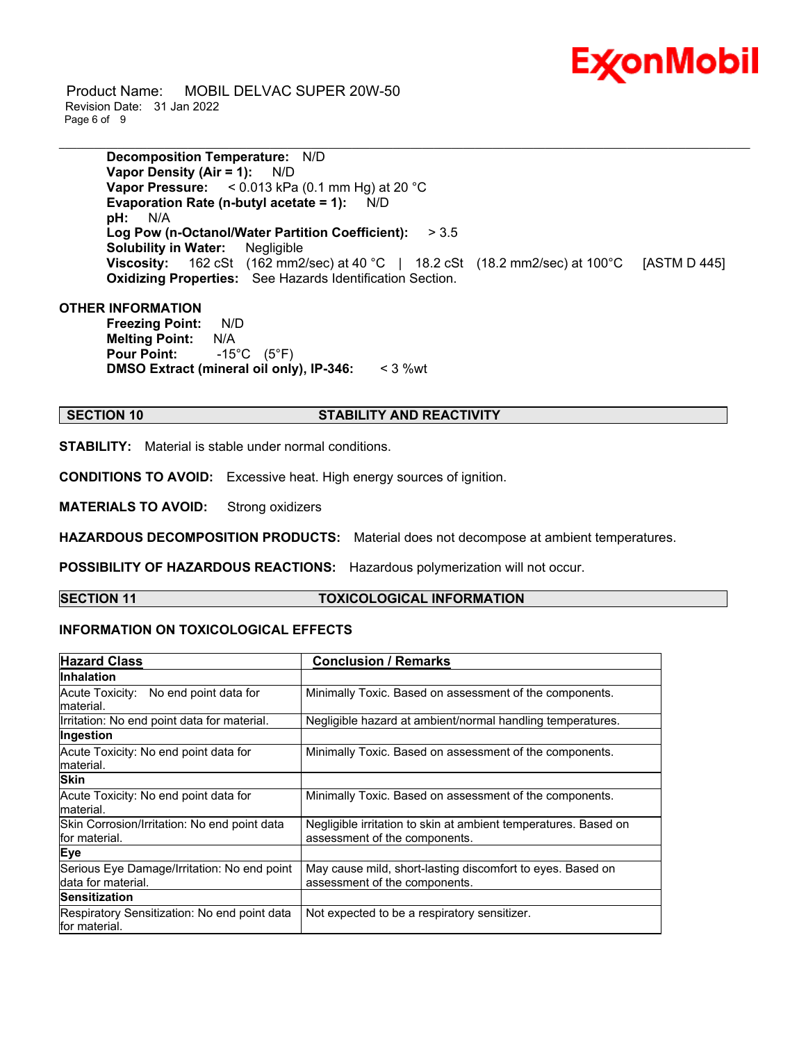

 Product Name: MOBIL DELVAC SUPER 20W-50 Revision Date: 31 Jan 2022 Page 6 of 9

> **Decomposition Temperature:** N/D **Vapor Density (Air = 1):** N/D **Vapor Pressure:** < 0.013 kPa (0.1 mm Hg) at 20 °C **Evaporation Rate (n-butyl acetate = 1):** N/D **pH:** N/A **Log Pow (n-Octanol/Water Partition Coefficient):** > 3.5 **Solubility in Water:** Negligible **Viscosity:** 162 cSt (162 mm2/sec) at 40 °C | 18.2 cSt (18.2 mm2/sec) at 100 °C [ASTM D 445] **Oxidizing Properties:** See Hazards Identification Section.

\_\_\_\_\_\_\_\_\_\_\_\_\_\_\_\_\_\_\_\_\_\_\_\_\_\_\_\_\_\_\_\_\_\_\_\_\_\_\_\_\_\_\_\_\_\_\_\_\_\_\_\_\_\_\_\_\_\_\_\_\_\_\_\_\_\_\_\_\_\_\_\_\_\_\_\_\_\_\_\_\_\_\_\_\_\_\_\_\_\_\_\_\_\_\_\_\_\_\_\_\_\_\_\_\_\_\_\_\_\_\_\_\_\_\_\_\_\_

# **OTHER INFORMATION**

**Freezing Point:** N/D **Melting Point:** N/A **Pour Point:** -15°C (5°F) **DMSO Extract (mineral oil only), IP-346:** < 3 %wt

### **SECTION 10 STABILITY AND REACTIVITY**

**STABILITY:** Material is stable under normal conditions.

**CONDITIONS TO AVOID:** Excessive heat. High energy sources of ignition.

**MATERIALS TO AVOID:** Strong oxidizers

**HAZARDOUS DECOMPOSITION PRODUCTS:** Material does not decompose at ambient temperatures.

**POSSIBILITY OF HAZARDOUS REACTIONS:** Hazardous polymerization will not occur.

# **SECTION 11 TOXICOLOGICAL INFORMATION**

# **INFORMATION ON TOXICOLOGICAL EFFECTS**

| <b>Hazard Class</b>                                           | <b>Conclusion / Remarks</b>                                     |  |
|---------------------------------------------------------------|-----------------------------------------------------------------|--|
| Inhalation                                                    |                                                                 |  |
| Acute Toxicity: No end point data for                         | Minimally Toxic. Based on assessment of the components.         |  |
| lmaterial.                                                    |                                                                 |  |
| Irritation: No end point data for material.                   | Negligible hazard at ambient/normal handling temperatures.      |  |
| Ingestion                                                     |                                                                 |  |
| Acute Toxicity: No end point data for                         | Minimally Toxic. Based on assessment of the components.         |  |
| material.                                                     |                                                                 |  |
| <b>Skin</b>                                                   |                                                                 |  |
| Acute Toxicity: No end point data for                         | Minimally Toxic. Based on assessment of the components.         |  |
| material.                                                     |                                                                 |  |
| Skin Corrosion/Irritation: No end point data                  | Negligible irritation to skin at ambient temperatures. Based on |  |
| for material.                                                 | assessment of the components.                                   |  |
| Eye                                                           |                                                                 |  |
| Serious Eye Damage/Irritation: No end point                   | May cause mild, short-lasting discomfort to eyes. Based on      |  |
| data for material.                                            | assessment of the components.                                   |  |
| <b>Sensitization</b>                                          |                                                                 |  |
| Respiratory Sensitization: No end point data<br>for material. | Not expected to be a respiratory sensitizer.                    |  |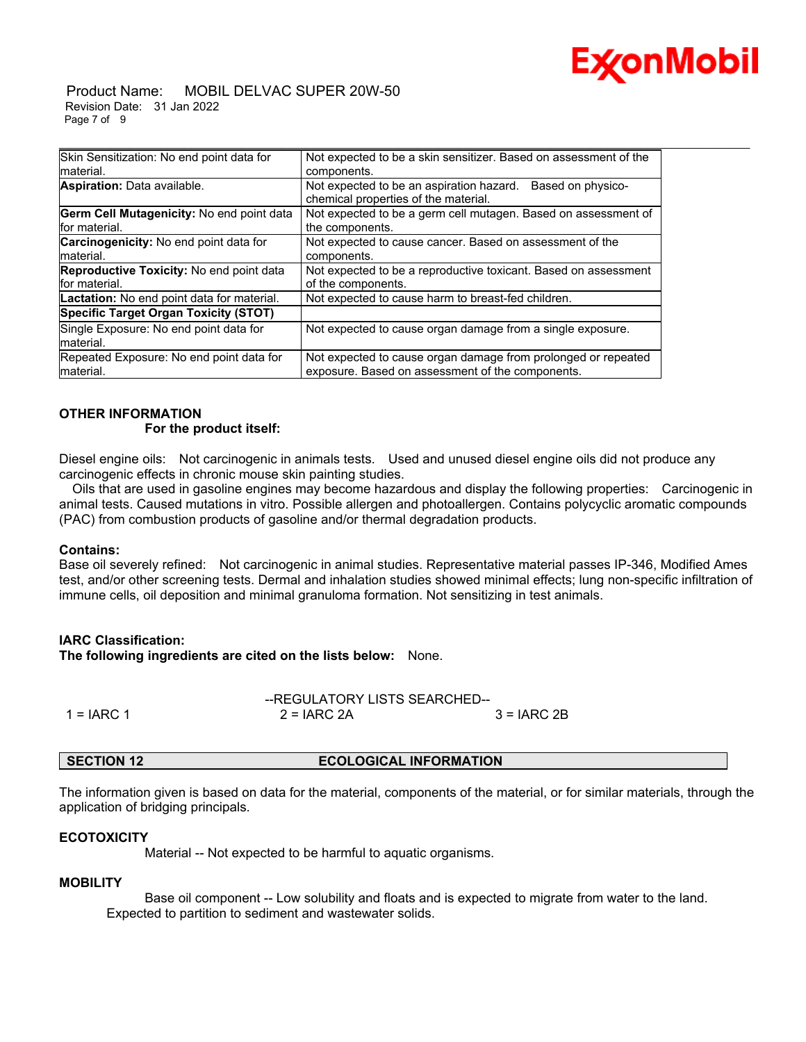

#### Product Name: MOBIL DELVAC SUPER 20W-50 Revision Date: 31 Jan 2022 Page 7 of 9

| Skin Sensitization: No end point data for       | Not expected to be a skin sensitizer. Based on assessment of the                                      |  |  |
|-------------------------------------------------|-------------------------------------------------------------------------------------------------------|--|--|
| Imaterial.                                      | components.                                                                                           |  |  |
| Aspiration: Data available.                     | Not expected to be an aspiration hazard.<br>Based on physico-<br>chemical properties of the material. |  |  |
| Germ Cell Mutagenicity: No end point data       | Not expected to be a germ cell mutagen. Based on assessment of                                        |  |  |
| for material.                                   | the components.                                                                                       |  |  |
| Carcinogenicity: No end point data for          | Not expected to cause cancer. Based on assessment of the                                              |  |  |
| material.                                       | components.                                                                                           |  |  |
| <b>Reproductive Toxicity:</b> No end point data | Not expected to be a reproductive toxicant. Based on assessment                                       |  |  |
| for material.                                   | of the components.                                                                                    |  |  |
| Lactation: No end point data for material.      | Not expected to cause harm to breast-fed children.                                                    |  |  |
| Specific Target Organ Toxicity (STOT)           |                                                                                                       |  |  |
| Single Exposure: No end point data for          | Not expected to cause organ damage from a single exposure.                                            |  |  |
| material.                                       |                                                                                                       |  |  |
| Repeated Exposure: No end point data for        | Not expected to cause organ damage from prolonged or repeated                                         |  |  |
| Imaterial.                                      | exposure. Based on assessment of the components.                                                      |  |  |

# **OTHER INFORMATION For the product itself:**

Diesel engine oils: Not carcinogenic in animals tests. Used and unused diesel engine oils did not produce any carcinogenic effects in chronic mouse skin painting studies.

 Oils that are used in gasoline engines may become hazardous and display the following properties: Carcinogenic in animal tests. Caused mutations in vitro. Possible allergen and photoallergen. Contains polycyclic aromatic compounds (PAC) from combustion products of gasoline and/or thermal degradation products.

# **Contains:**

Base oil severely refined: Not carcinogenic in animal studies. Representative material passes IP-346, Modified Ames test, and/or other screening tests. Dermal and inhalation studies showed minimal effects; lung non-specific infiltration of immune cells, oil deposition and minimal granuloma formation. Not sensitizing in test animals.

# **IARC Classification:**

**The following ingredients are cited on the lists below:** None.

|              | --REGULATORY LISTS SEARCHED-- |             |  |
|--------------|-------------------------------|-------------|--|
| 1 = $IARC 1$ | $2 = IARC 2A$                 | 3 = IARC 2B |  |

# **SECTION 12 ECOLOGICAL INFORMATION**

The information given is based on data for the material, components of the material, or for similar materials, through the application of bridging principals.

# **ECOTOXICITY**

Material -- Not expected to be harmful to aquatic organisms.

# **MOBILITY**

 Base oil component -- Low solubility and floats and is expected to migrate from water to the land. Expected to partition to sediment and wastewater solids.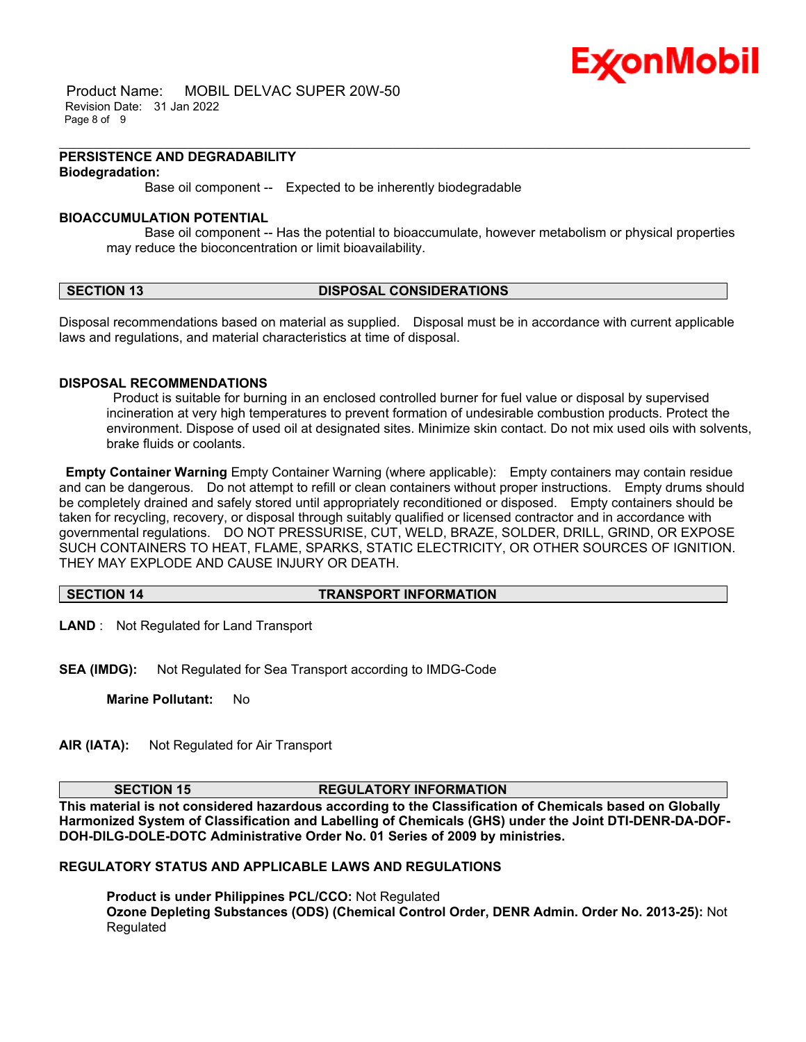

 Product Name: MOBIL DELVAC SUPER 20W-50 Revision Date: 31 Jan 2022 Page 8 of 9

#### **PERSISTENCE AND DEGRADABILITY Biodegradation:**

Base oil component -- Expected to be inherently biodegradable

### **BIOACCUMULATION POTENTIAL**

 Base oil component -- Has the potential to bioaccumulate, however metabolism or physical properties may reduce the bioconcentration or limit bioavailability.

\_\_\_\_\_\_\_\_\_\_\_\_\_\_\_\_\_\_\_\_\_\_\_\_\_\_\_\_\_\_\_\_\_\_\_\_\_\_\_\_\_\_\_\_\_\_\_\_\_\_\_\_\_\_\_\_\_\_\_\_\_\_\_\_\_\_\_\_\_\_\_\_\_\_\_\_\_\_\_\_\_\_\_\_\_\_\_\_\_\_\_\_\_\_\_\_\_\_\_\_\_\_\_\_\_\_\_\_\_\_\_\_\_\_\_\_\_\_

### **SECTION 13 DISPOSAL CONSIDERATIONS**

Disposal recommendations based on material as supplied. Disposal must be in accordance with current applicable laws and regulations, and material characteristics at time of disposal.

### **DISPOSAL RECOMMENDATIONS**

Product is suitable for burning in an enclosed controlled burner for fuel value or disposal by supervised incineration at very high temperatures to prevent formation of undesirable combustion products. Protect the environment. Dispose of used oil at designated sites. Minimize skin contact. Do not mix used oils with solvents, brake fluids or coolants.

**Empty Container Warning** Empty Container Warning (where applicable): Empty containers may contain residue and can be dangerous. Do not attempt to refill or clean containers without proper instructions. Empty drums should be completely drained and safely stored until appropriately reconditioned or disposed. Empty containers should be taken for recycling, recovery, or disposal through suitably qualified or licensed contractor and in accordance with governmental regulations. DO NOT PRESSURISE, CUT, WELD, BRAZE, SOLDER, DRILL, GRIND, OR EXPOSE SUCH CONTAINERS TO HEAT, FLAME, SPARKS, STATIC ELECTRICITY, OR OTHER SOURCES OF IGNITION. THEY MAY EXPLODE AND CAUSE INJURY OR DEATH.

### **SECTION 14 TRANSPORT INFORMATION**

**LAND** : Not Regulated for Land Transport

**SEA (IMDG):** Not Regulated for Sea Transport according to IMDG-Code

**Marine Pollutant:** No

**AIR (IATA):** Not Regulated for Air Transport

# **SECTION 15 REGULATORY INFORMATION**

**This material is not considered hazardous according to the Classification of Chemicals based on Globally Harmonized System of Classification and Labelling of Chemicals (GHS) under the Joint DTI-DENR-DA-DOF-DOH-DILG-DOLE-DOTC Administrative Order No. 01 Series of 2009 by ministries.**

**REGULATORY STATUS AND APPLICABLE LAWS AND REGULATIONS**

**Product is under Philippines PCL/CCO:** Not Regulated **Ozone Depleting Substances (ODS) (Chemical Control Order, DENR Admin. Order No. 2013-25):** Not Regulated